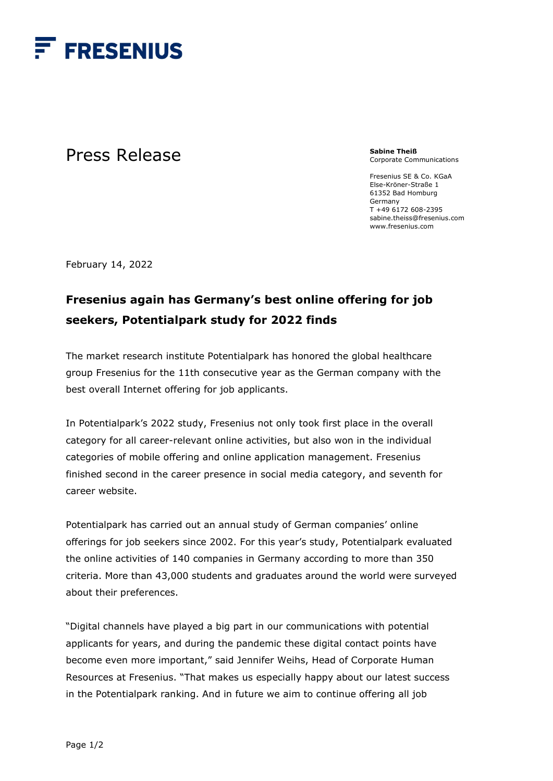

## Press Release

**Sabine Theiß** Corporate Communications

Fresenius SE & Co. KGaA Else-Kröner-Straße 1 61352 Bad Homburg Germany T +49 6172 608-2395 sabine.theiss@fresenius.com www.fresenius.com

February 14, 2022

## **Fresenius again has Germany's best online offering for job seekers, Potentialpark study for 2022 finds**

The market research institute Potentialpark has honored the global healthcare group Fresenius for the 11th consecutive year as the German company with the best overall Internet offering for job applicants.

In Potentialpark's 2022 study, Fresenius not only took first place in the overall category for all career-relevant online activities, but also won in the individual categories of mobile offering and online application management. Fresenius finished second in the career presence in social media category, and seventh for career website.

Potentialpark has carried out an annual study of German companies' online offerings for job seekers since 2002. For this year's study, Potentialpark evaluated the online activities of 140 companies in Germany according to more than 350 criteria. More than 43,000 students and graduates around the world were surveyed about their preferences.

"Digital channels have played a big part in our communications with potential applicants for years, and during the pandemic these digital contact points have become even more important," said Jennifer Weihs, Head of Corporate Human Resources at Fresenius. "That makes us especially happy about our latest success in the Potentialpark ranking. And in future we aim to continue offering all job